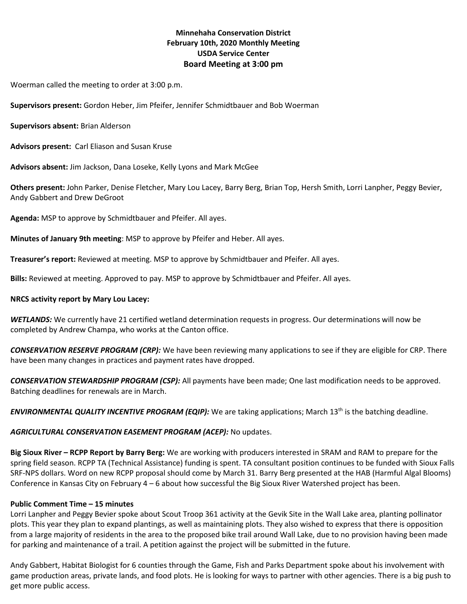# **Minnehaha Conservation District February 10th, 2020 Monthly Meeting USDA Service Center Board Meeting at 3:00 pm**

Woerman called the meeting to order at 3:00 p.m.

**Supervisors present:** Gordon Heber, Jim Pfeifer, Jennifer Schmidtbauer and Bob Woerman

**Supervisors absent:** Brian Alderson

**Advisors present:** Carl Eliason and Susan Kruse

**Advisors absent:** Jim Jackson, Dana Loseke, Kelly Lyons and Mark McGee

**Others present:** John Parker, Denise Fletcher, Mary Lou Lacey, Barry Berg, Brian Top, Hersh Smith, Lorri Lanpher, Peggy Bevier, Andy Gabbert and Drew DeGroot

**Agenda:** MSP to approve by Schmidtbauer and Pfeifer. All ayes.

**Minutes of January 9th meeting**: MSP to approve by Pfeifer and Heber. All ayes.

**Treasurer's report:** Reviewed at meeting. MSP to approve by Schmidtbauer and Pfeifer. All ayes.

**Bills:** Reviewed at meeting. Approved to pay. MSP to approve by Schmidtbauer and Pfeifer. All ayes.

### **NRCS activity report by Mary Lou Lacey:**

*WETLANDS:* We currently have 21 certified wetland determination requests in progress. Our determinations will now be completed by Andrew Champa, who works at the Canton office.

*CONSERVATION RESERVE PROGRAM (CRP):* We have been reviewing many applications to see if they are eligible for CRP. There have been many changes in practices and payment rates have dropped.

*CONSERVATION STEWARDSHIP PROGRAM (CSP):* All payments have been made; One last modification needs to be approved. Batching deadlines for renewals are in March.

*ENVIRONMENTAL QUALITY INCENTIVE PROGRAM (EQIP):* We are taking applications; March 13th is the batching deadline.

## *AGRICULTURAL CONSERVATION EASEMENT PROGRAM (ACEP):* No updates.

**Big Sioux River – RCPP Report by Barry Berg:** We are working with producers interested in SRAM and RAM to prepare for the spring field season. RCPP TA (Technical Assistance) funding is spent. TA consultant position continues to be funded with Sioux Falls SRF-NPS dollars. Word on new RCPP proposal should come by March 31. Barry Berg presented at the HAB (Harmful Algal Blooms) Conference in Kansas City on February 4 – 6 about how successful the Big Sioux River Watershed project has been.

## **Public Comment Time – 15 minutes**

Lorri Lanpher and Peggy Bevier spoke about Scout Troop 361 activity at the Gevik Site in the Wall Lake area, planting pollinator plots. This year they plan to expand plantings, as well as maintaining plots. They also wished to express that there is opposition from a large majority of residents in the area to the proposed bike trail around Wall Lake, due to no provision having been made for parking and maintenance of a trail. A petition against the project will be submitted in the future.

Andy Gabbert, Habitat Biologist for 6 counties through the Game, Fish and Parks Department spoke about his involvement with game production areas, private lands, and food plots. He is looking for ways to partner with other agencies. There is a big push to get more public access.